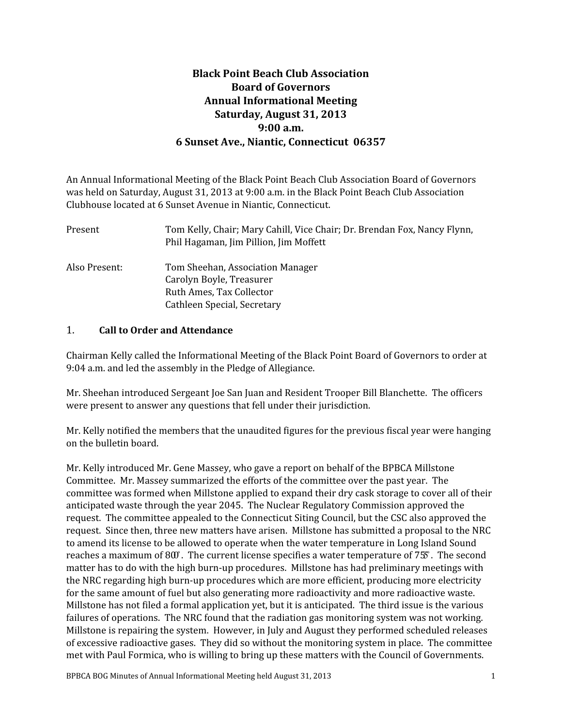## **Black Point Beach Club Association Board of Governors Annual Informational Meeting Saturday, August 31, 2013 9:00 a.m. 6 Sunset Ave., Niantic, Connecticut 06357**

An Annual Informational Meeting of the Black Point Beach Club Association Board of Governors was held on Saturday, August 31, 2013 at 9:00 a.m. in the Black Point Beach Club Association Clubhouse located at 6 Sunset Avenue in Niantic, Connecticut.

| Present       | Tom Kelly, Chair; Mary Cahill, Vice Chair; Dr. Brendan Fox, Nancy Flynn,<br>Phil Hagaman, Jim Pillion, Jim Moffett      |
|---------------|-------------------------------------------------------------------------------------------------------------------------|
| Also Present: | Tom Sheehan, Association Manager<br>Carolyn Boyle, Treasurer<br>Ruth Ames, Tax Collector<br>Cathleen Special, Secretary |

## 1. **Call to Order and Attendance**

Chairman Kelly called the Informational Meeting of the Black Point Board of Governors to order at 9:04 a.m. and led the assembly in the Pledge of Allegiance.

Mr. Sheehan introduced Sergeant Joe San Juan and Resident Trooper Bill Blanchette. The officers were present to answer any questions that fell under their jurisdiction.

Mr. Kelly notified the members that the unaudited figures for the previous fiscal year were hanging on the bulletin board.

Mr. Kelly introduced Mr. Gene Massey, who gave a report on behalf of the BPBCA Millstone Committee. Mr. Massey summarized the efforts of the committee over the past year. The committee was formed when Millstone applied to expand their dry cask storage to cover all of their anticipated waste through the year 2045. The Nuclear Regulatory Commission approved the request. The committee appealed to the Connecticut Siting Council, but the CSC also approved the request. Since then, three new matters have arisen. Millstone has submitted a proposal to the NRC to amend its license to be allowed to operate when the water temperature in Long Island Sound reaches a maximum of 8 $00$ . The current license specifies a water temperature of 7 $5\degree$ . The second matter has to do with the high burn-up procedures. Millstone has had preliminary meetings with the NRC regarding high burn-up procedures which are more efficient, producing more electricity for the same amount of fuel but also generating more radioactivity and more radioactive waste. Millstone has not filed a formal application yet, but it is anticipated. The third issue is the various failures of operations. The NRC found that the radiation gas monitoring system was not working. Millstone is repairing the system. However, in July and August they performed scheduled releases of excessive radioactive gases. They did so without the monitoring system in place. The committee met with Paul Formica, who is willing to bring up these matters with the Council of Governments.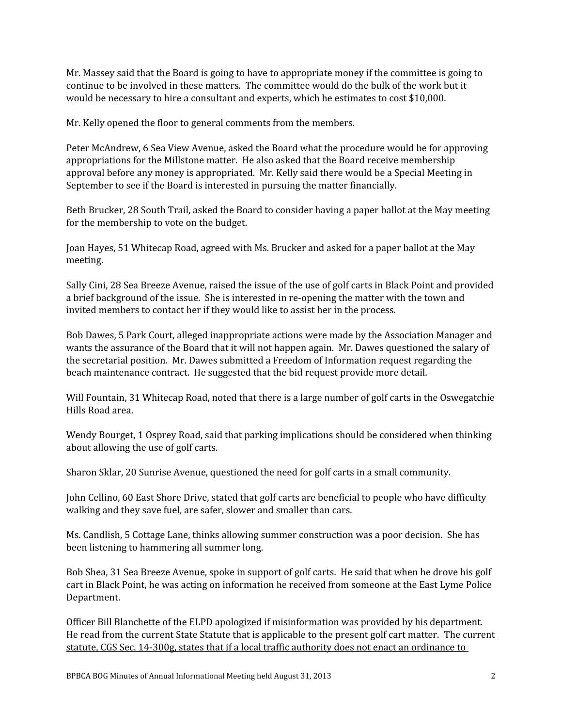Mr. Massey said that the Board is going to have to appropriate money if the committee is going to continue to be involved in these matters. The committee would do the bulk of the work but it would be necessary to hire a consultant and experts, which he estimates to cost \$10,000.

Mr. Kelly opened the floor to general comments from the members.

Peter McAndrew, 6 Sea View Avenue, asked the Board what the procedure would be for approving appropriations for the Millstone matter. He also asked that the Board receive membership approval before any money is appropriated. Mr. Kelly said there would be a Special Meeting in September to see if the Board is interested in pursuing the matter financially.

Beth Brucker, 28 South Trail, asked the Board to consider having a paper ballot at the May meeting for the membership to vote on the budget.

Joan Hayes, 51 Whitecap Road, agreed with Ms. Brucker and asked for a paper ballot at the May meeting.

Sally Cini, 28 Sea Breeze Avenue, raised the issue of the use of golf carts in Black Point and provided a brief background of the issue. She is interested in re-opening the matter with the town and invited members to contact her if they would like to assist her in the process.

Bob Dawes, 5 Park Court, alleged inappropriate actions were made by the Association Manager and wants the assurance of the Board that it will not happen again. Mr. Dawes questioned the salary of the secretarial position. Mr. Dawes submitted a Freedom of Information request regarding the beach maintenance contract. He suggested that the bid request provide more detail.

Will Fountain, 31 Whitecap Road, noted that there is a large number of golf carts in the Oswegatchie Hills Road area.

Wendy Bourget, 1 Osprey Road, said that parking implications should be considered when thinking about allowing the use of golf carts.

Sharon Sklar, 20 Sunrise Avenue, questioned the need for golf carts in a small community.

John Cellino, 60 East Shore Drive, stated that golf carts are beneficial to people who have difficulty walking and they save fuel, are safer, slower and smaller than cars.

Ms. Candlish, 5 Cottage Lane, thinks allowing summer construction was a poor decision. She has been listening to hammering all summer long.

Bob Shea, 31 Sea Breeze Avenue, spoke in support of golf carts. He said that when he drove his golf cart in Black Point, he was acting on information he received from someone at the East Lyme Police Department.

Officer Bill Blanchette of the ELPD apologized if misinformation was provided by his department. He read from the current State Statute that is applicable to the present golf cart matter. The current statute, CGS Sec. 14-300g, states that if a local traffic authority does not enact an ordinance to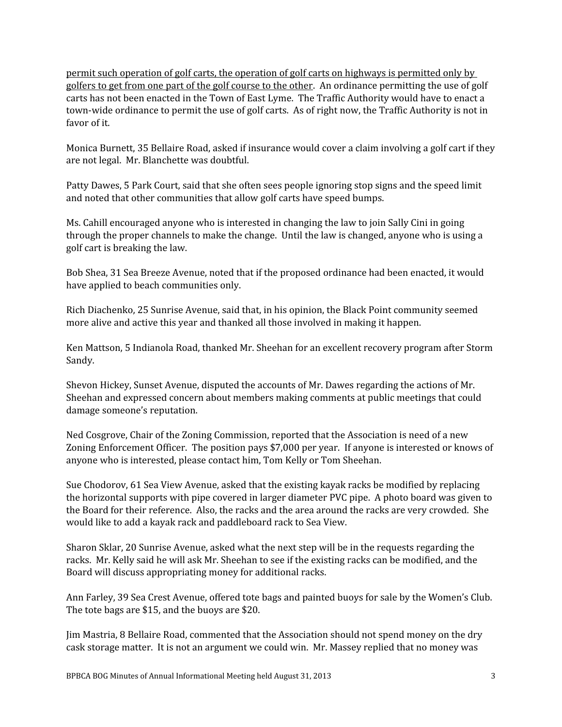permit such operation of golf carts, the operation of golf carts on highways is permitted only by golfers to get from one part of the golf course to the other. An ordinance permitting the use of golf carts has not been enacted in the Town of East Lyme. The Traffic Authority would have to enact a town-wide ordinance to permit the use of golf carts. As of right now, the Traffic Authority is not in favor of it.

Monica Burnett, 35 Bellaire Road, asked if insurance would cover a claim involving a golf cart if they are not legal. Mr. Blanchette was doubtful.

Patty Dawes, 5 Park Court, said that she often sees people ignoring stop signs and the speed limit and noted that other communities that allow golf carts have speed bumps.

Ms. Cahill encouraged anyone who is interested in changing the law to join Sally Cini in going through the proper channels to make the change. Until the law is changed, anyone who is using a golf cart is breaking the law.

Bob Shea, 31 Sea Breeze Avenue, noted that if the proposed ordinance had been enacted, it would have applied to beach communities only.

Rich Diachenko, 25 Sunrise Avenue, said that, in his opinion, the Black Point community seemed more alive and active this year and thanked all those involved in making it happen.

Ken Mattson, 5 Indianola Road, thanked Mr. Sheehan for an excellent recovery program after Storm Sandy.

Shevon Hickey, Sunset Avenue, disputed the accounts of Mr. Dawes regarding the actions of Mr. Sheehan and expressed concern about members making comments at public meetings that could damage someone's reputation.

Ned Cosgrove, Chair of the Zoning Commission, reported that the Association is need of a new Zoning Enforcement Officer. The position pays \$7,000 per year. If anyone is interested or knows of anyone who is interested, please contact him, Tom Kelly or Tom Sheehan.

Sue Chodorov, 61 Sea View Avenue, asked that the existing kayak racks be modified by replacing the horizontal supports with pipe covered in larger diameter PVC pipe. A photo board was given to the Board for their reference. Also, the racks and the area around the racks are very crowded. She would like to add a kayak rack and paddleboard rack to Sea View.

Sharon Sklar, 20 Sunrise Avenue, asked what the next step will be in the requests regarding the racks. Mr. Kelly said he will ask Mr. Sheehan to see if the existing racks can be modified, and the Board will discuss appropriating money for additional racks.

Ann Farley, 39 Sea Crest Avenue, offered tote bags and painted buoys for sale by the Women's Club. The tote bags are \$15, and the buoys are \$20.

Jim Mastria, 8 Bellaire Road, commented that the Association should not spend money on the dry cask storage matter. It is not an argument we could win. Mr. Massey replied that no money was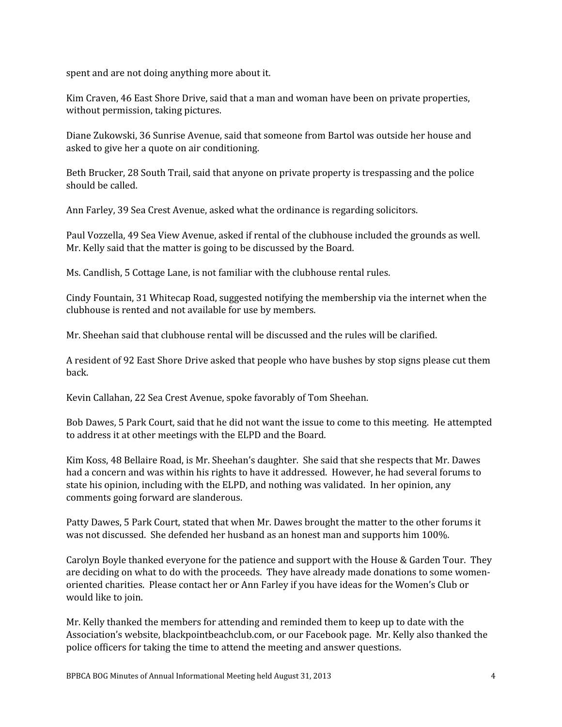spent and are not doing anything more about it.

Kim Craven, 46 East Shore Drive, said that a man and woman have been on private properties, without permission, taking pictures.

Diane Zukowski, 36 Sunrise Avenue, said that someone from Bartol was outside her house and asked to give her a quote on air conditioning.

Beth Brucker, 28 South Trail, said that anyone on private property is trespassing and the police should be called.

Ann Farley, 39 Sea Crest Avenue, asked what the ordinance is regarding solicitors.

Paul Vozzella, 49 Sea View Avenue, asked if rental of the clubhouse included the grounds as well. Mr. Kelly said that the matter is going to be discussed by the Board.

Ms. Candlish, 5 Cottage Lane, is not familiar with the clubhouse rental rules.

Cindy Fountain, 31 Whitecap Road, suggested notifying the membership via the internet when the clubhouse is rented and not available for use by members.

Mr. Sheehan said that clubhouse rental will be discussed and the rules will be clarified.

A resident of 92 East Shore Drive asked that people who have bushes by stop signs please cut them back.

Kevin Callahan, 22 Sea Crest Avenue, spoke favorably of Tom Sheehan.

Bob Dawes, 5 Park Court, said that he did not want the issue to come to this meeting. He attempted to address it at other meetings with the ELPD and the Board.

Kim Koss, 48 Bellaire Road, is Mr. Sheehan's daughter. She said that she respects that Mr. Dawes had a concern and was within his rights to have it addressed. However, he had several forums to state his opinion, including with the ELPD, and nothing was validated. In her opinion, any comments going forward are slanderous.

Patty Dawes, 5 Park Court, stated that when Mr. Dawes brought the matter to the other forums it was not discussed. She defended her husband as an honest man and supports him 100%.

Carolyn Boyle thanked everyone for the patience and support with the House & Garden Tour. They are deciding on what to do with the proceeds. They have already made donations to some womenoriented charities. Please contact her or Ann Farley if you have ideas for the Women's Club or would like to join.

Mr. Kelly thanked the members for attending and reminded them to keep up to date with the Association's website, blackpointbeachclub.com, or our Facebook page. Mr. Kelly also thanked the police officers for taking the time to attend the meeting and answer questions.